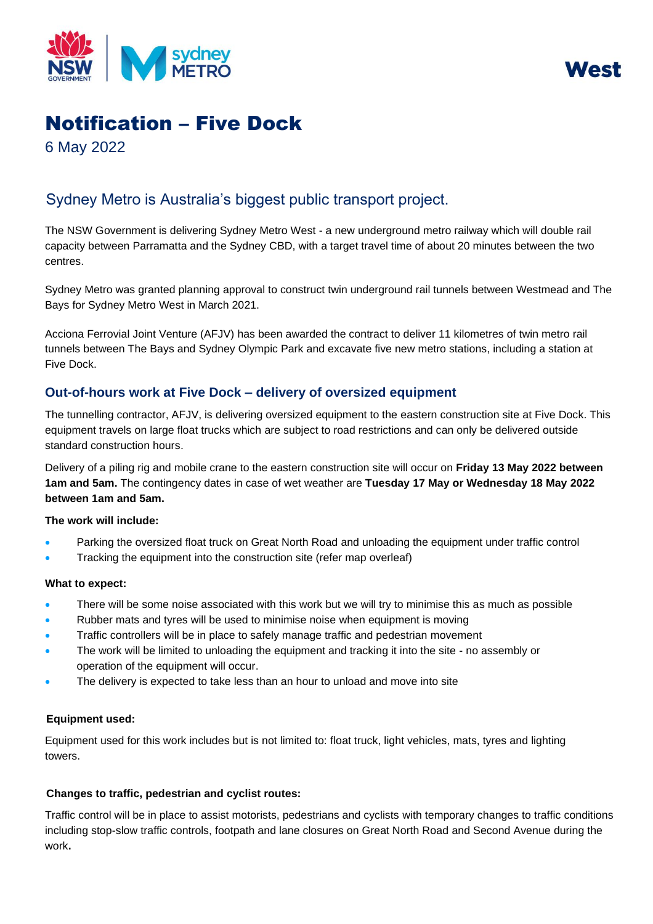



# Notification – Five Dock

6 May 2022

## Sydney Metro is Australia's biggest public transport project.

The NSW Government is delivering Sydney Metro West - a new underground metro railway which will double rail capacity between Parramatta and the Sydney CBD, with a target travel time of about 20 minutes between the two centres.

Sydney Metro was granted planning approval to construct twin underground rail tunnels between Westmead and The Bays for Sydney Metro West in March 2021.

Acciona Ferrovial Joint Venture (AFJV) has been awarded the contract to deliver 11 kilometres of twin metro rail tunnels between The Bays and Sydney Olympic Park and excavate five new metro stations, including a station at Five Dock.

### **Out-of-hours work at Five Dock – delivery of oversized equipment**

The tunnelling contractor, AFJV, is delivering oversized equipment to the eastern construction site at Five Dock. This equipment travels on large float trucks which are subject to road restrictions and can only be delivered outside standard construction hours.

Delivery of a piling rig and mobile crane to the eastern construction site will occur on **Friday 13 May 2022 between 1am and 5am.** The contingency dates in case of wet weather are **Tuesday 17 May or Wednesday 18 May 2022 between 1am and 5am.**

#### **The work will include:**

- Parking the oversized float truck on Great North Road and unloading the equipment under traffic control
- Tracking the equipment into the construction site (refer map overleaf)

#### **What to expect:**

- There will be some noise associated with this work but we will try to minimise this as much as possible
- Rubber mats and tyres will be used to minimise noise when equipment is moving
- Traffic controllers will be in place to safely manage traffic and pedestrian movement
- The work will be limited to unloading the equipment and tracking it into the site no assembly or operation of the equipment will occur.
- The delivery is expected to take less than an hour to unload and move into site

#### **Equipment used:**

Equipment used for this work includes but is not limited to: float truck, light vehicles, mats, tyres and lighting towers.

#### **Changes to traffic, pedestrian and cyclist routes:**

Traffic control will be in place to assist motorists, pedestrians and cyclists with temporary changes to traffic conditions including stop-slow traffic controls, footpath and lane closures on Great North Road and Second Avenue during the work**.**